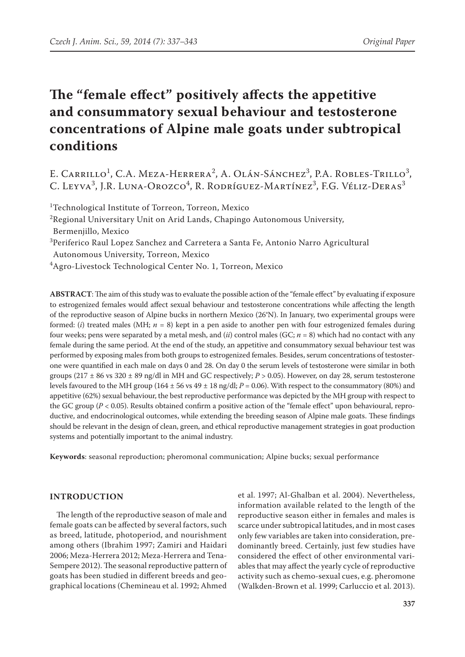# **The "female effect" positively affects the appetitive and consummatory sexual behaviour and testosterone concentrations of Alpine male goats under subtropical conditions**

E. Carrillo<sup>1</sup>, C.A. Meza-Herrera<sup>2</sup>, A. Olán-Sánchez<sup>3</sup>, P.A. Robles-Trillo<sup>3</sup>, C. Leyva<sup>3</sup>, J.R. Luna-Orozco<sup>4</sup>, R. Rodríguez-Martínez<sup>3</sup>, F.G. Véliz-Deras<sup>3</sup>

<sup>1</sup>Technological Institute of Torreon, Torreon, Mexico

<sup>2</sup>Regional Universitary Unit on Arid Lands, Chapingo Autonomous University, Bermenjillo, Mexico

3 Periferico Raul Lopez Sanchez and Carretera a Santa Fe, Antonio Narro Agricultural

Autonomous University, Torreon, Mexico

4 Agro-Livestock Technological Center No. 1, Torreon, Mexico

**ABSTRACT**:The aim of this study was to evaluate the possible action of the "female effect" by evaluating if exposure to estrogenized females would affect sexual behaviour and testosterone concentrations while affecting the length of the reproductive season of Alpine bucks in northern Mexico (26°N). In January, two experimental groups were formed: (*i*) treated males (MH;  $n = 8$ ) kept in a pen aside to another pen with four estrogenized females during four weeks; pens were separated by a metal mesh, and (*ii*) control males (GC; *n* = 8) which had no contact with any female during the same period. At the end of the study, an appetitive and consummatory sexual behaviour test was performed by exposing males from both groups to estrogenized females. Besides, serum concentrations of testosterone were quantified in each male on days 0 and 28. On day 0 the serum levels of testosterone were similar in both groups (217 ± 86 vs 320 ± 89 ng/dl in MH and GC respectively; *P* > 0.05). However, on day 28, serum testosterone levels favoured to the MH group (164  $\pm$  56 vs 49  $\pm$  18 ng/dl; *P* = 0.06). With respect to the consummatory (80%) and appetitive (62%) sexual behaviour, the best reproductive performance was depicted by the MH group with respect to the GC group (*P* < 0.05). Results obtained confirm a positive action of the "female effect" upon behavioural, reproductive, and endocrinological outcomes, while extending the breeding season of Alpine male goats. These findings should be relevant in the design of clean, green, and ethical reproductive management strategies in goat production systems and potentially important to the animal industry.

**Keywords**: seasonal reproduction; pheromonal communication; Alpine bucks; sexual performance

#### **Introduction**

The length of the reproductive season of male and female goats can be affected by several factors, such as breed, latitude, photoperiod, and nourishment among others (Ibrahim 1997; Zamiri and Haidari 2006; Meza-Herrera 2012; Meza-Herrera and Tena-Sempere 2012). The seasonal reproductive pattern of goats has been studied in different breeds and geographical locations (Chemineau et al. 1992; Ahmed

et al. 1997; Al-Ghalban et al. 2004). Nevertheless, information available related to the length of the reproductive season either in females and males is scarce under subtropical latitudes, and in most cases only few variables are taken into consideration, predominantly breed. Certainly, just few studies have considered the effect of other environmental variables that may affect the yearly cycle of reproductive activity such as chemo-sexual cues, e.g. pheromone (Walkden-Brown et al. 1999; Carluccio et al. 2013).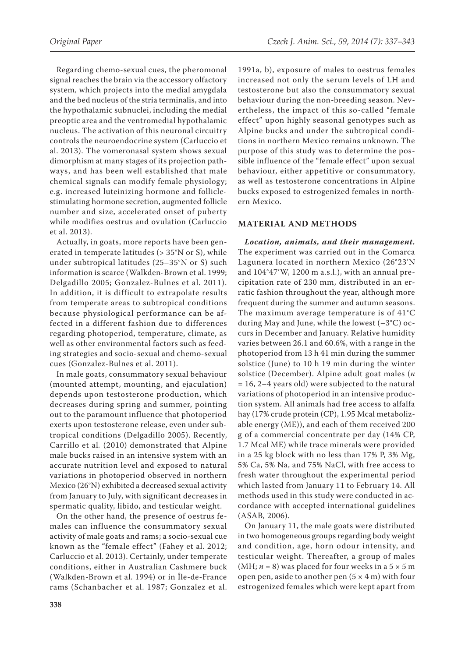Regarding chemo-sexual cues, the pheromonal signal reaches the brain via the accessory olfactory system, which projects into the medial amygdala and the bed nucleus of the stria terminalis, and into the hypothalamic subnuclei, including the medial preoptic area and the ventromedial hypothalamic nucleus. The activation of this neuronal circuitry controls the neuroendocrine system (Carluccio et al. 2013). The vomeronasal system shows sexual dimorphism at many stages of its projection pathways, and has been well established that male chemical signals can modify female physiology; e.g. increased luteinizing hormone and folliclestimulating hormone secretion, augmented follicle number and size, accelerated onset of puberty while modifies oestrus and ovulation (Carluccio et al. 2013).

Actually, in goats, more reports have been generated in temperate latitudes (> 35°N or S), while under subtropical latitudes (25–35°N or S) such information is scarce (Walkden-Brown et al. 1999; Delgadillo 2005; Gonzalez-Bulnes et al. 2011). In addition, it is difficult to extrapolate results from temperate areas to subtropical conditions because physiological performance can be affected in a different fashion due to differences regarding photoperiod, temperature, climate, as well as other environmental factors such as feeding strategies and socio-sexual and chemo-sexual cues (Gonzalez-Bulnes et al. 2011).

In male goats, consummatory sexual behaviour (mounted attempt, mounting, and ejaculation) depends upon testosterone production, which decreases during spring and summer, pointing out to the paramount influence that photoperiod exerts upon testosterone release, even under subtropical conditions (Delgadillo 2005). Recently, Carrillo et al*.* (2010) demonstrated that Alpine male bucks raised in an intensive system with an accurate nutrition level and exposed to natural variations in photoperiod observed in northern Mexico (26°N) exhibited a decreased sexual activity from January to July, with significant decreases in spermatic quality, libido, and testicular weight.

On the other hand, the presence of oestrus females can influence the consummatory sexual activity of male goats and rams; a socio-sexual cue known as the "female effect" (Fahey et al. 2012; Carluccio et al. 2013). Certainly, under temperate conditions, either in Australian Cashmere buck (Walkden-Brown et al. 1994) or in Île-de-France rams (Schanbacher et al. 1987; Gonzalez et al.

1991a, b), exposure of males to oestrus females increased not only the serum levels of LH and testosterone but also the consummatory sexual behaviour during the non-breeding season. Nevertheless, the impact of this so-called "female effect" upon highly seasonal genotypes such as Alpine bucks and under the subtropical conditions in northern Mexico remains unknown. The purpose of this study was to determine the possible influence of the "female effect" upon sexual behaviour, either appetitive or consummatory, as well as testosterone concentrations in Alpine bucks exposed to estrogenized females in northern Mexico.

### **MATERIAL AND METHODS**

*Location, animals, and their management.*  The experiment was carried out in the Comarca Lagunera located in northern Mexico (26°23'N and 104°47'W, 1200 m a.s.l.), with an annual precipitation rate of 230 mm, distributed in an erratic fashion throughout the year, although more frequent during the summer and autumn seasons. The maximum average temperature is of 41°C during May and June, while the lowest (–3°C) occurs in December and January. Relative humidity varies between 26.1 and 60.6%, with a range in the photoperiod from 13 h 41 min during the summer solstice (June) to 10 h 19 min during the winter solstice (December). Alpine adult goat males (*n* = 16, 2–4 years old) were subjected to the natural variations of photoperiod in an intensive production system. All animals had free access to alfalfa hay (17% crude protein (CP), 1.95 Mcal metabolizable energy (ME)), and each of them received 200 g of a commercial concentrate per day (14% CP, 1.7 Mcal ME) while trace minerals were provided in a 25 kg block with no less than 17% P, 3% Mg, 5% Ca, 5% Na, and 75% NaCl, with free access to fresh water throughout the experimental period which lasted from January 11 to February 14. All methods used in this study were conducted in accordance with accepted international guidelines (ASAB, 2006).

On January 11, the male goats were distributed in two homogeneous groups regarding body weight and condition, age, horn odour intensity, and testicular weight. Thereafter, a group of males (MH;  $n = 8$ ) was placed for four weeks in a  $5 \times 5$  m open pen, aside to another pen  $(5 \times 4 \text{ m})$  with four estrogenized females which were kept apart from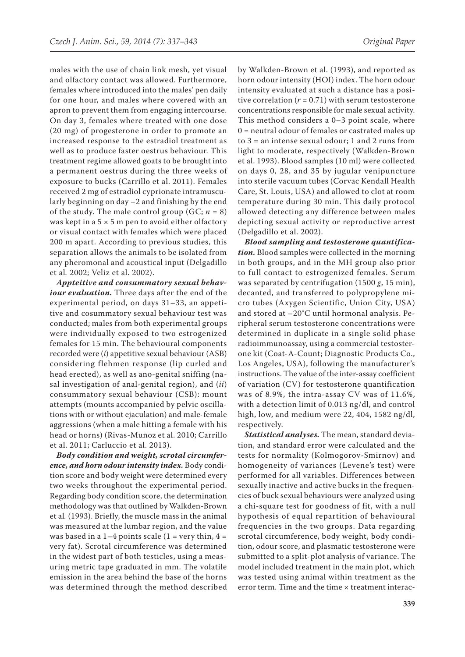males with the use of chain link mesh, yet visual and olfactory contact was allowed. Furthermore, females where introduced into the males' pen daily for one hour, and males where covered with an apron to prevent them from engaging intercourse. On day 3, females where treated with one dose (20 mg) of progesterone in order to promote an increased response to the estradiol treatment as well as to produce faster oestrus behaviour. This treatment regime allowed goats to be brought into a permanent oestrus during the three weeks of exposure to bucks (Carrillo et al. 2011). Females received 2 mg of estradiol cyprionate intramuscularly beginning on day –2 and finishing by the end of the study. The male control group  $(GC; n = 8)$ was kept in a  $5 \times 5$  m pen to avoid either olfactory or visual contact with females which were placed 200 m apart. According to previous studies, this separation allows the animals to be isolated from any pheromonal and acoustical input (Delgadillo et al*.* 2002; Veliz et al. 2002).

*Appteitive and consummatory sexual behaviour evaluation.* Three days after the end of the experimental period, on days 31–33, an appetitive and cosummatory sexual behaviour test was conducted; males from both experimental groups were individually exposed to two estrogenized females for 15 min. The behavioural components recorded were (*i*) appetitive sexual behaviour (ASB) considering flehmen response (lip curled and head erected), as well as ano-genital sniffing (nasal investigation of anal-genital region), and (*ii*) consummatory sexual behaviour (CSB): mount attempts (mounts accompanied by pelvic oscillations with or without ejaculation) and male-female aggressions (when a male hitting a female with his head or horns) (Rivas-Munoz et al. 2010; Carrillo et al. 2011; Carluccio et al. 2013).

*Body condition and weight, scrotal circumference, and horn odour intensity index.* Body condition score and body weight were determined every two weeks throughout the experimental period. Regarding body condition score, the determination methodology was that outlined by Walkden-Brown et al*.* (1993). Briefly, the muscle mass in the animal was measured at the lumbar region, and the value was based in a  $1-4$  points scale  $(1 = \text{very thin}, 4 =$ very fat). Scrotal circumference was determined in the widest part of both testicles, using a measuring metric tape graduated in mm. The volatile emission in the area behind the base of the horns was determined through the method described

by Walkden-Brown et al. (1993), and reported as horn odour intensity (HOI) index. The horn odour intensity evaluated at such a distance has a positive correlation  $(r = 0.71)$  with serum testosterone concentrations responsible for male sexual activity. This method considers a 0–3 point scale, where 0 = neutral odour of females or castrated males up to 3 = an intense sexual odour; 1 and 2 runs from light to moderate, respectively (Walkden-Brown et al. 1993). Blood samples (10 ml) were collected on days 0, 28, and 35 by jugular venipuncture into sterile vacuum tubes (Corvac Kendall Health Care, St. Louis, USA) and allowed to clot at room temperature during 30 min. This daily protocol allowed detecting any difference between males depicting sexual activity or reproductive arrest (Delgadillo et al. 2002).

*Blood sampling and testosterone quantification.* Blood samples were collected in the morning in both groups, and in the MH group also prior to full contact to estrogenized females. Serum was separated by centrifugation (1500 *g*, 15 min), decanted, and transferred to polypropylene micro tubes (Axygen Scientific, Union City, USA) and stored at –20°C until hormonal analysis. Peripheral serum testosterone concentrations were determined in duplicate in a single solid phase radioimmunoassay, using a commercial testosterone kit (Coat-A-Count; Diagnostic Products Co., Los Angeles, USA), following the manufacturer's instructions. The value of the inter-assay coefficient of variation (CV) for testosterone quantification was of 8.9%, the intra-assay CV was of 11.6%, with a detection limit of 0.013 ng/dl, and control high, low, and medium were 22, 404, 1582 ng/dl, respectively.

*Statistical analyses.* The mean, standard deviation, and standard error were calculated and the tests for normality (Kolmogorov-Smirnov) and homogeneity of variances (Levene's test) were performed for all variables. Differences between sexually inactive and active bucks in the frequencies of buck sexual behaviours were analyzed using a chi-square test for goodness of fit, with a null hypothesis of equal repartition of behavioural frequencies in the two groups. Data regarding scrotal circumference, body weight, body condition, odour score, and plasmatic testosterone were submitted to a split-plot analysis of variance. The model included treatment in the main plot, which was tested using animal within treatment as the error term. Time and the time × treatment interac-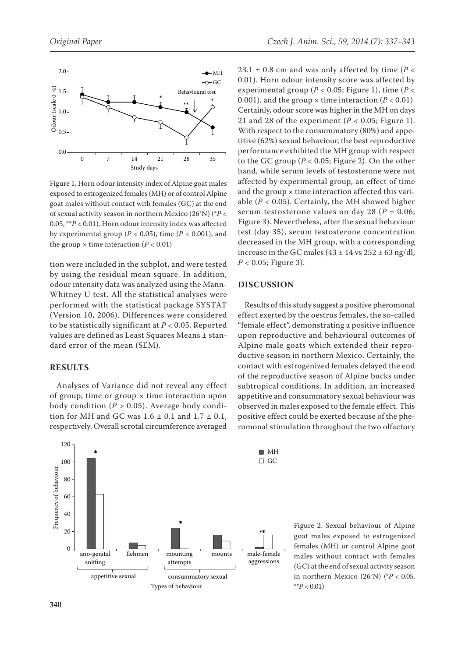

Figure 1. Horn odour intensity index of Alpine goat males exposed to estrogenized females (MH) or of control Alpine goat males without contact with females (GC) at the end of sexual activity season in northern Mexico (26°N) (\**P* < 0.05, \*\**P* < 0.01). Horn odour intensity index was affected by experimental group ( $P < 0.05$ ), time ( $P < 0.001$ ), and the group  $\times$  time interaction ( $P < 0.01$ )

tion were included in the subplot, and were tested by using the residual mean square. In addition, odour intensity data was analyzed using the Mann-Whitney U test. All the statistical analyses were performed with the statistical package SYSTAT (Version 10, 2006). Differences were considered to be statistically significant at *P* < 0.05. Reported values are defined as Least Squares Means ± standard error of the mean (SEM).

#### **RESULTS**

Analyses of Variance did not reveal any effect of group, time or group  $\times$  time interaction upon body condition  $(P > 0.05)$ . Average body condition for MH and GC was  $1.6 \pm 0.1$  and  $1.7 \pm 0.1$ , respectively. Overall scrotal circumference averaged



23.1  $\pm$  0.8 cm and was only affected by time ( $P$  < 0.01). Horn odour intensity score was affected by experimental group (*P* < 0.05; Figure 1), time (*P* < 0.001), and the group  $\times$  time interaction ( $P < 0.01$ ). Certainly, odour score was higher in the MH on days 21 and 28 of the experiment  $(P < 0.05$ ; Figure 1). With respect to the consummatory (80%) and appetitive (62%) sexual behaviour, the best reproductive performance exhibited the MH group with respect to the GC group  $(P < 0.05$ ; Figure 2). On the other hand, while serum levels of testosterone were not affected by experimental group, an effect of time and the group  $\times$  time interaction affected this variable  $(P < 0.05)$ . Certainly, the MH showed higher serum testosterone values on day 28 (*P* = 0.06; Figure 3). Nevertheless, after the sexual behaviour test (day 35), serum testosterone concentration decreased in the MH group, with a corresponding increase in the GC males  $(43 \pm 14 \text{ vs } 252 \pm 63 \text{ ng/dl})$ , *P* < 0.05; Figure 3).

#### **DISCUSSION**

Results of this study suggest a positive pheromonal effect exerted by the oestrus females, the so-called "female effect", demonstrating a positive influence upon reproductive and behavioural outcomes of Alpine male goats which extended their reproductive season in northern Mexico. Certainly, the contact with estrogenized females delayed the end of the reproductive season of Alpine bucks under subtropical conditions. In addition, an increased appetitive and consummatory sexual behaviour was observed in males exposed to the female effect. This positive effect could be exerted because of the pheromonal stimulation throughout the two olfactory

> Figure 2. Sexual behaviour of Alpine goat males exposed to estrogenized females (MH) or control Alpine goat males without contact with females (GC) at the end of sexual activity season in northern Mexico (26°N) (\**P* < 0.05, \*\**P* < 0.01)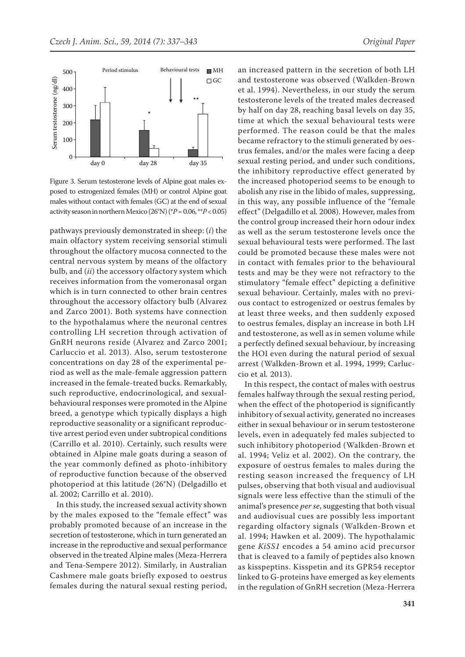

Figure 3. Serum testosterone levels of Alpine goat males exposed to estrogenized females (MH) or control Alpine goat males without contact with females (GC) at the end of sexual activity season in northern Mexico (26°N) (\**P* = 0.06, \*\**P* < 0.05)

pathways previously demonstrated in sheep: (*i*) the main olfactory system receiving sensorial stimuli throughout the olfactory mucosa connected to the central nervous system by means of the olfactory bulb, and (*ii*) the accessory olfactory system which receives information from the vomeronasal organ which is in turn connected to other brain centres throughout the accessory olfactory bulb (Alvarez and Zarco 2001). Both systems have connection to the hypothalamus where the neuronal centres controlling LH secretion through activation of GnRH neurons reside (Alvarez and Zarco 2001; Carluccio et al. 2013). Also, serum testosterone concentrations on day 28 of the experimental period as well as the male-female aggression pattern increased in the female-treated bucks. Remarkably, such reproductive, endocrinological, and sexualbehavioural responses were promoted in the Alpine breed, a genotype which typically displays a high reproductive seasonality or a significant reproductive arrest period even under subtropical conditions (Carrillo et al. 2010). Certainly, such results were obtained in Alpine male goats during a season of the year commonly defined as photo-inhibitory of reproductive function because of the observed photoperiod at this latitude (26°N) (Delgadillo et al. 2002; Carrillo et al. 2010).

In this study, the increased sexual activity shown by the males exposed to the "female effect" was probably promoted because of an increase in the secretion of testosterone, which in turn generated an increase in the reproductive and sexual performance observed in the treated Alpine males (Meza-Herrera and Tena-Sempere 2012). Similarly, in Australian Cashmere male goats briefly exposed to oestrus females during the natural sexual resting period, an increased pattern in the secretion of both LH and testosterone was observed (Walkden-Brown et al. 1994). Nevertheless, in our study the serum testosterone levels of the treated males decreased by half on day 28, reaching basal levels on day 35, time at which the sexual behavioural tests were performed. The reason could be that the males became refractory to the stimuli generated by oestrus females, and/or the males were facing a deep sexual resting period, and under such conditions, the inhibitory reproductive effect generated by the increased photoperiod seems to be enough to abolish any rise in the libido of males, suppressing, in this way, any possible influence of the "female effect" (Delgadillo et al*.* 2008). However, males from the control group increased their horn odour index as well as the serum testosterone levels once the sexual behavioural tests were performed. The last could be promoted because these males were not in contact with females prior to the behavioural tests and may be they were not refractory to the stimulatory "female effect" depicting a definitive sexual behaviour. Certainly, males with no previous contact to estrogenized or oestrus females by at least three weeks, and then suddenly exposed to oestrus females, display an increase in both LH and testosterone, as well as in semen volume while a perfectly defined sexual behaviour, by increasing the HOI even during the natural period of sexual arrest (Walkden-Brown et al. 1994, 1999; Carluccio et al*.* 2013).

In this respect, the contact of males with oestrus females halfway through the sexual resting period, when the effect of the photoperiod is significantly inhibitory of sexual activity, generated no increases either in sexual behaviour or in serum testosterone levels, even in adequately fed males subjected to such inhibitory photoperiod (Walkden-Brown et al. 1994; Veliz et al. 2002). On the contrary, the exposure of oestrus females to males during the resting season increased the frequency of LH pulses, observing that both visual and audiovisual signals were less effective than the stimuli of the animal's presence *per se*, suggesting that both visual and audiovisual cues are possibly less important regarding olfactory signals (Walkden-Brown et al. 1994; Hawken et al. 2009). The hypothalamic gene *KiSS1* encodes a 54 amino acid precursor that is cleaved to a family of peptides also known as kisspeptins. Kisspetin and its GPR54 receptor linked to G-proteins have emerged as key elements in the regulation of GnRH secretion (Meza-Herrera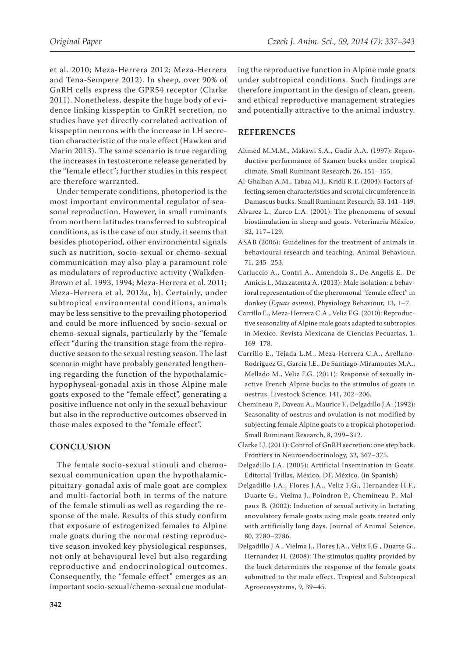et al. 2010; Meza-Herrera 2012; Meza-Herrera and Tena-Sempere 2012). In sheep, over 90% of GnRH cells express the GPR54 receptor (Clarke 2011). Nonetheless, despite the huge body of evidence linking kisspeptin to GnRH secretion, no studies have yet directly correlated activation of kisspeptin neurons with the increase in LH secretion characteristic of the male effect (Hawken and Marin 2013). The same scenario is true regarding the increases in testosterone release generated by the "female effect"; further studies in this respect are therefore warranted.

Under temperate conditions, photoperiod is the most important environmental regulator of seasonal reproduction. However, in small ruminants from northern latitudes transferred to subtropical conditions, as is the case of our study, it seems that besides photoperiod, other environmental signals such as nutrition, socio-sexual or chemo-sexual communication may also play a paramount role as modulators of reproductive activity (Walkden-Brown et al. 1993, 1994; Meza-Herrera et al. 2011; Meza-Herrera et al. 2013a, b). Certainly, under subtropical environmental conditions, animals may be less sensitive to the prevailing photoperiod and could be more influenced by socio-sexual or chemo-sexual signals, particularly by the "female effect "during the transition stage from the reproductive season to the sexual resting season. The last scenario might have probably generated lengthening regarding the function of the hypothalamichypophyseal-gonadal axis in those Alpine male goats exposed to the "female effect", generating a positive influence not only in the sexual behaviour but also in the reproductive outcomes observed in those males exposed to the "female effect".

## **CONCLUSION**

The female socio-sexual stimuli and chemosexual communication upon the hypothalamicpituitary-gonadal axis of male goat are complex and multi-factorial both in terms of the nature of the female stimuli as well as regarding the response of the male. Results of this study confirm that exposure of estrogenized females to Alpine male goats during the normal resting reproductive season invoked key physiological responses, not only at behavioural level but also regarding reproductive and endocrinological outcomes. Consequently, the "female effect" emerges as an important socio-sexual/chemo-sexual cue modulating the reproductive function in Alpine male goats under subtropical conditions. Such findings are therefore important in the design of clean, green, and ethical reproductive management strategies and potentially attractive to the animal industry.

## **REFERENCES**

- Ahmed M.M.M., Makawi S.A., Gadir A.A. (1997): Reproductive performance of Saanen bucks under tropical climate. Small Ruminant Research, 26, 151–155.
- Al-Ghalban A.M., Tabaa M.J., Kridli R.T. (2004): Factors affecting semen characteristics and scrotal circumference in Damascus bucks. Small Ruminant Research, 53, 141–149.
- Alvarez L., Zarco L.A. (2001): The phenomena of sexual biostimulation in sheep and goats. Veterinaria México, 32, 117–129.
- ASAB (2006): Guidelines for the treatment of animals in behavioural research and teaching. Animal Behaviour, 71, 245–253.
- Carluccio A., Contri A., Amendola S., De Angelis E., De Amicis I., Mazzatenta A. (2013): Male isolation: a behavioral representation of the pheromonal "female effect" in donkey (*Equus asinus*). Physiology Behaviour, 13, 1–7.
- Carrillo E., Meza-Herrera C.A., Veliz F.G. (2010): Reproductive seasonality of Alpine male goats adapted to subtropics in Mexico. Revista Mexicana de Ciencias Pecuarias, 1, 169–178.
- Carrillo E., Tejada L.M., Meza-Herrera C.A., Arellano-Rodriguez G., Garcia J.E., De Santiago-Miramontes M.A., Mellado M., Veliz F.G. (2011): Response of sexually inactive French Alpine bucks to the stimulus of goats in oestrus. Livestock Science, 141, 202–206.
- Chemineau P., Daveau A., Maurice F., Delgadillo J.A. (1992): Seasonality of oestrus and ovulation is not modified by subjecting female Alpine goats to a tropical photoperiod. Small Ruminant Research, 8, 299–312.
- Clarke I.J. (2011): Control of GnRH secretion: one step back. Frontiers in Neuroendocrinology, 32, 367–375.
- Delgadillo J.A. (2005): Artificial Insemination in Goats. Editorial Trillas, México, DF, México. (in Spanish)
- Delgadillo J.A., Flores J.A., Veliz F.G., Hernandez H.F., Duarte G., Vielma J., Poindron P., Chemineau P., Malpaux B. (2002): Induction of sexual activity in lactating anovulatory female goats using male goats treated only with artificially long days. Journal of Animal Science, 80, 2780–2786.
- Delgadillo J.A., Vielma J., Flores J.A., Veliz F.G., Duarte G., Hernandez H. (2008): The stimulus quality provided by the buck determines the response of the female goats submitted to the male effect. Tropical and Subtropical Agroecosystems, 9, 39–45.